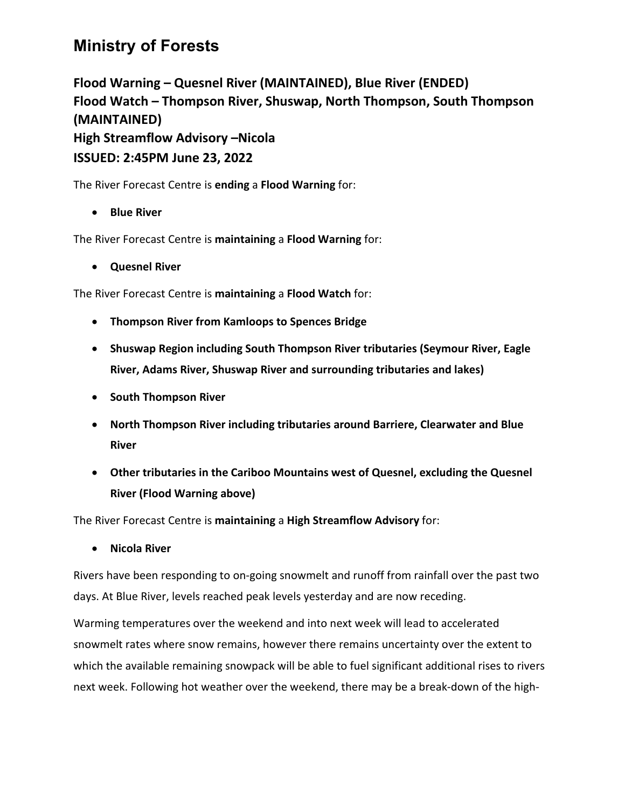## **Ministry of Forests**

**Flood Warning – Quesnel River (MAINTAINED), Blue River (ENDED) Flood Watch – Thompson River, Shuswap, North Thompson, South Thompson (MAINTAINED) High Streamflow Advisory –Nicola ISSUED: 2:45PM June 23, 2022**

The River Forecast Centre is **ending** a **Flood Warning** for:

• **Blue River** 

The River Forecast Centre is **maintaining** a **Flood Warning** for:

• **Quesnel River**

The River Forecast Centre is **maintaining** a **Flood Watch** for:

- **Thompson River from Kamloops to Spences Bridge**
- **Shuswap Region including South Thompson River tributaries (Seymour River, Eagle River, Adams River, Shuswap River and surrounding tributaries and lakes)**
- **South Thompson River**
- **North Thompson River including tributaries around Barriere, Clearwater and Blue River**
- **Other tributaries in the Cariboo Mountains west of Quesnel, excluding the Quesnel River (Flood Warning above)**

The River Forecast Centre is **maintaining** a **High Streamflow Advisory** for:

• **Nicola River**

Rivers have been responding to on-going snowmelt and runoff from rainfall over the past two days. At Blue River, levels reached peak levels yesterday and are now receding.

Warming temperatures over the weekend and into next week will lead to accelerated snowmelt rates where snow remains, however there remains uncertainty over the extent to which the available remaining snowpack will be able to fuel significant additional rises to rivers next week. Following hot weather over the weekend, there may be a break-down of the high-